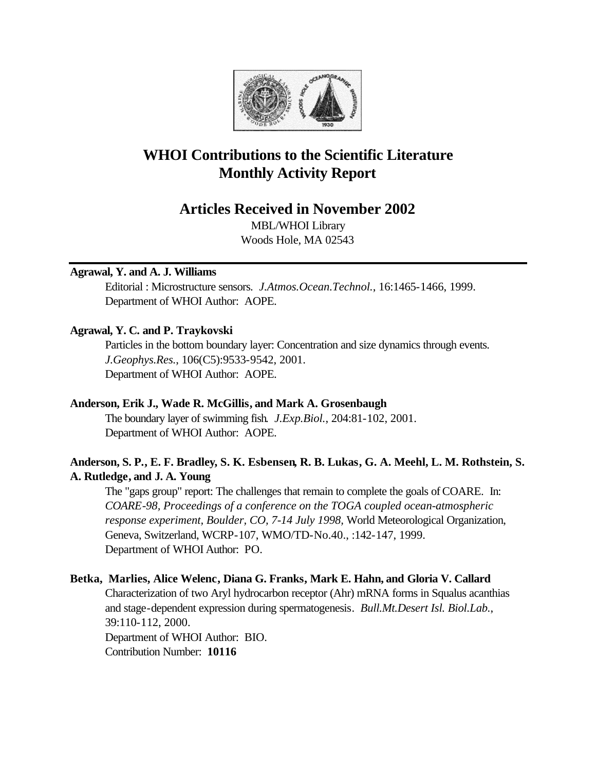

# **WHOI Contributions to the Scientific Literature Monthly Activity Report**

# **Articles Received in November 2002**

MBL/WHOI Library Woods Hole, MA 02543

# **Agrawal, Y. and A. J. Williams**

Editorial : Microstructure sensors. *J.Atmos.Ocean.Technol.*, 16:1465-1466, 1999. Department of WHOI Author: AOPE.

# **Agrawal, Y. C. and P. Traykovski**

Particles in the bottom boundary layer: Concentration and size dynamics through events. *J.Geophys.Res.*, 106(C5):9533-9542, 2001. Department of WHOI Author: AOPE.

# **Anderson, Erik J., Wade R. McGillis, and Mark A. Grosenbaugh**

The boundary layer of swimming fish. *J.Exp.Biol.*, 204:81-102, 2001. Department of WHOI Author: AOPE.

# **Anderson, S. P., E. F. Bradley, S. K. Esbensen, R. B. Lukas, G. A. Meehl, L. M. Rothstein, S. A. Rutledge, and J. A. Young**

The "gaps group" report: The challenges that remain to complete the goals of COARE. In: *COARE-98, Proceedings of a conference on the TOGA coupled ocean-atmospheric response experiment, Boulder, CO, 7-14 July 1998,* World Meteorological Organization, Geneva, Switzerland, WCRP-107, WMO/TD-No.40., :142-147, 1999. Department of WHOI Author: PO.

# **Betka, Marlies, Alice Welenc, Diana G. Franks, Mark E. Hahn, and Gloria V. Callard**

Characterization of two Aryl hydrocarbon receptor (Ahr) mRNA forms in Squalus acanthias and stage-dependent expression during spermatogenesis. *Bull.Mt.Desert Isl. Biol.Lab.*, 39:110-112, 2000. Department of WHOI Author: BIO. Contribution Number: **10116**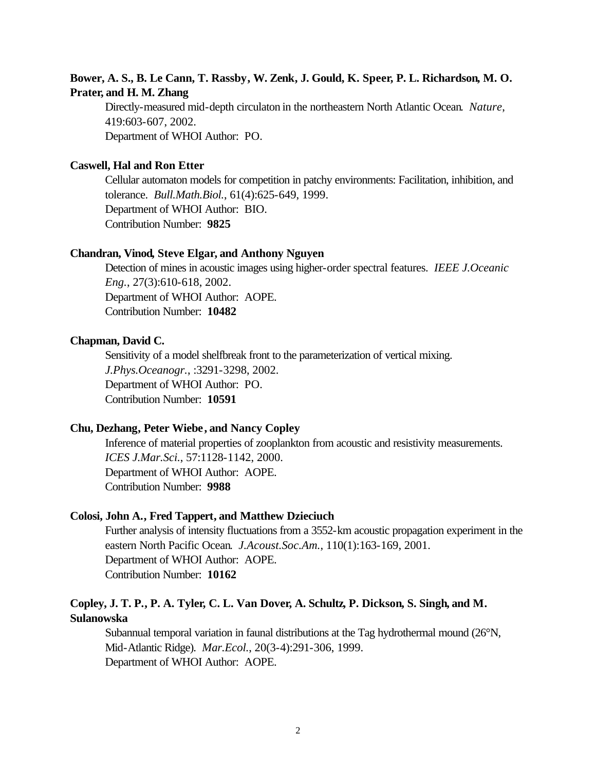# **Bower, A. S., B. Le Cann, T. Rassby, W. Zenk, J. Gould, K. Speer, P. L. Richardson, M. O. Prater, and H. M. Zhang**

Directly-measured mid-depth circulaton in the northeastern North Atlantic Ocean. *Nature*, 419:603-607, 2002. Department of WHOI Author: PO.

# **Caswell, Hal and Ron Etter**

Cellular automaton models for competition in patchy environments: Facilitation, inhibition, and tolerance. *Bull.Math.Biol.*, 61(4):625-649, 1999. Department of WHOI Author: BIO. Contribution Number: **9825**

## **Chandran, Vinod, Steve Elgar, and Anthony Nguyen**

Detection of mines in acoustic images using higher-order spectral features. *IEEE J.Oceanic Eng.*, 27(3):610-618, 2002. Department of WHOI Author: AOPE. Contribution Number: **10482**

# **Chapman, David C.**

Sensitivity of a model shelfbreak front to the parameterization of vertical mixing. *J.Phys.Oceanogr.*, :3291-3298, 2002. Department of WHOI Author: PO. Contribution Number: **10591**

# **Chu, Dezhang, Peter Wiebe, and Nancy Copley**

Inference of material properties of zooplankton from acoustic and resistivity measurements. *ICES J.Mar.Sci.*, 57:1128-1142, 2000. Department of WHOI Author: AOPE. Contribution Number: **9988**

#### **Colosi, John A., Fred Tappert, and Matthew Dzieciuch**

Further analysis of intensity fluctuations from a 3552-km acoustic propagation experiment in the eastern North Pacific Ocean. *J.Acoust.Soc.Am.*, 110(1):163-169, 2001. Department of WHOI Author: AOPE. Contribution Number: **10162**

# **Copley, J. T. P., P. A. Tyler, C. L. Van Dover, A. Schultz, P. Dickson, S. Singh, and M. Sulanowska**

Subannual temporal variation in faunal distributions at the Tag hydrothermal mound (26°N, Mid-Atlantic Ridge). *Mar.Ecol.*, 20(3-4):291-306, 1999. Department of WHOI Author: AOPE.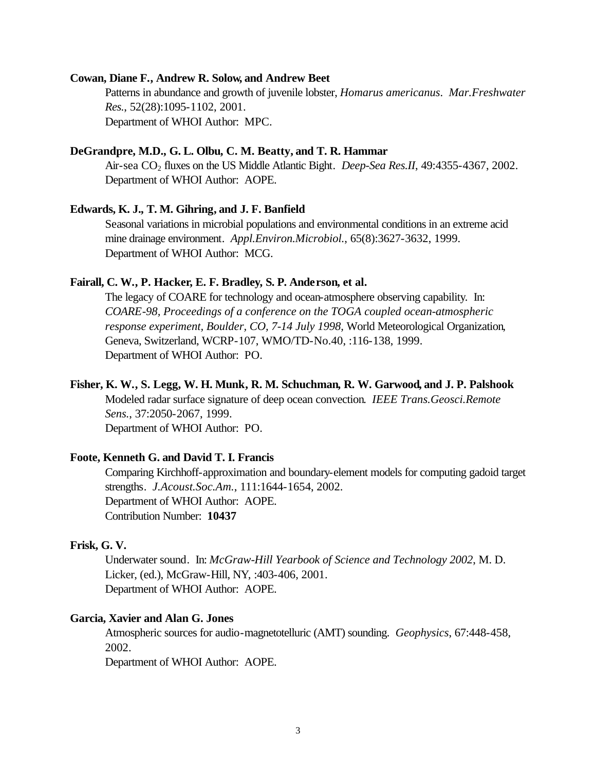#### **Cowan, Diane F., Andrew R. Solow, and Andrew Beet**

Patterns in abundance and growth of juvenile lobster, *Homarus americanus*. *Mar.Freshwater Res.*, 52(28):1095-1102, 2001. Department of WHOI Author: MPC.

### **DeGrandpre, M.D., G. L. Olbu, C. M. Beatty, and T. R. Hammar**

Air-sea CO<sub>2</sub> fluxes on the US Middle Atlantic Bight. *Deep-Sea Res.II*, 49:4355-4367, 2002. Department of WHOI Author: AOPE.

### **Edwards, K. J., T. M. Gihring, and J. F. Banfield**

Seasonal variations in microbial populations and environmental conditions in an extreme acid mine drainage environment. *Appl.Environ.Microbiol.*, 65(8):3627-3632, 1999. Department of WHOI Author: MCG.

#### **Fairall, C. W., P. Hacker, E. F. Bradley, S. P. Anderson, et al.**

The legacy of COARE for technology and ocean-atmosphere observing capability. In: *COARE-98, Proceedings of a conference on the TOGA coupled ocean-atmospheric response experiment, Boulder, CO, 7-14 July 1998,* World Meteorological Organization, Geneva, Switzerland, WCRP-107, WMO/TD-No.40, :116-138, 1999. Department of WHOI Author: PO.

#### **Fisher, K. W., S. Legg, W. H. Munk, R. M. Schuchman, R. W. Garwood, and J. P. Palshook**

Modeled radar surface signature of deep ocean convection. *IEEE Trans.Geosci.Remote Sens.*, 37:2050-2067, 1999.

Department of WHOI Author: PO.

#### **Foote, Kenneth G. and David T. I. Francis**

Comparing Kirchhoff-approximation and boundary-element models for computing gadoid target strengths. *J.Acoust.Soc.Am.*, 111:1644-1654, 2002. Department of WHOI Author: AOPE. Contribution Number: **10437**

# **Frisk, G. V.**

Underwater sound. In: *McGraw-Hill Yearbook of Science and Technology 2002*, M. D. Licker, (ed.), McGraw-Hill, NY, :403-406, 2001. Department of WHOI Author: AOPE.

### **Garcia, Xavier and Alan G. Jones**

Atmospheric sources for audio-magnetotelluric (AMT) sounding. *Geophysics*, 67:448-458, 2002.

Department of WHOI Author: AOPE.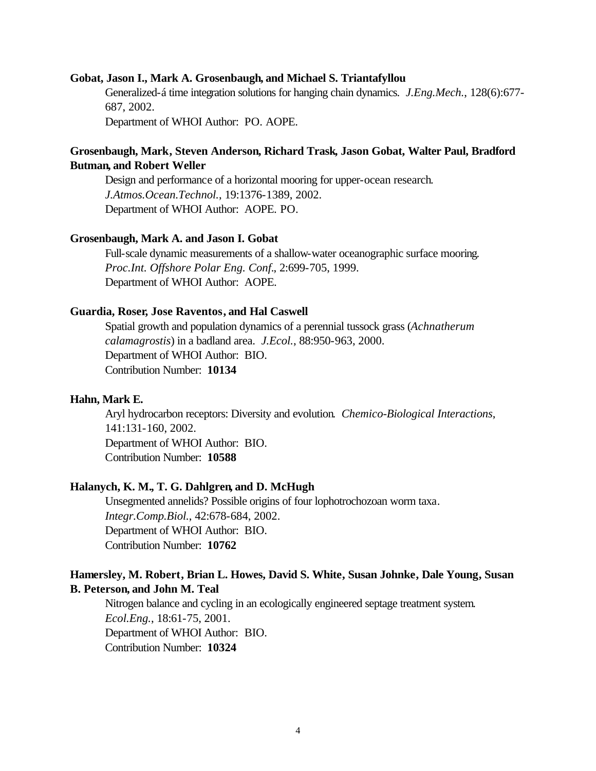#### **Gobat, Jason I., Mark A. Grosenbaugh, and Michael S. Triantafyllou**

Generalized-á time integration solutions for hanging chain dynamics. *J.Eng.Mech.*, 128(6):677- 687, 2002.

Department of WHOI Author: PO. AOPE.

# **Grosenbaugh, Mark, Steven Anderson, Richard Trask, Jason Gobat, Walter Paul, Bradford Butman, and Robert Weller**

Design and performance of a horizontal mooring for upper-ocean research. *J.Atmos.Ocean.Technol.*, 19:1376-1389, 2002. Department of WHOI Author: AOPE. PO.

#### **Grosenbaugh, Mark A. and Jason I. Gobat**

Full-scale dynamic measurements of a shallow-water oceanographic surface mooring. *Proc.Int. Offshore Polar Eng. Conf.*, 2:699-705, 1999. Department of WHOI Author: AOPE.

#### **Guardia, Roser, Jose Raventos, and Hal Caswell**

Spatial growth and population dynamics of a perennial tussock grass (*Achnatherum calamagrostis*) in a badland area. *J.Ecol.*, 88:950-963, 2000. Department of WHOI Author: BIO. Contribution Number: **10134**

#### **Hahn, Mark E.**

Aryl hydrocarbon receptors: Diversity and evolution. *Chemico-Biological Interactions*, 141:131-160, 2002. Department of WHOI Author: BIO. Contribution Number: **10588**

# **Halanych, K. M., T. G. Dahlgren, and D. McHugh**

Unsegmented annelids? Possible origins of four lophotrochozoan worm taxa. *Integr.Comp.Biol.*, 42:678-684, 2002. Department of WHOI Author: BIO. Contribution Number: **10762**

# **Hamersley, M. Robert, Brian L. Howes, David S. White, Susan Johnke, Dale Young, Susan B. Peterson, and John M. Teal**

Nitrogen balance and cycling in an ecologically engineered septage treatment system. *Ecol.Eng.*, 18:61-75, 2001. Department of WHOI Author: BIO. Contribution Number: **10324**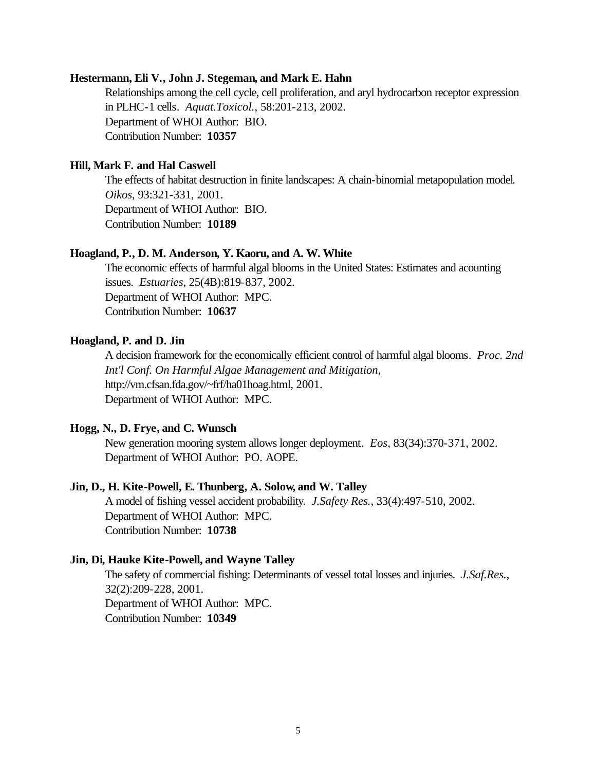#### **Hestermann, Eli V., John J. Stegeman, and Mark E. Hahn**

Relationships among the cell cycle, cell proliferation, and aryl hydrocarbon receptor expression in PLHC-1 cells. *Aquat.Toxicol.*, 58:201-213, 2002. Department of WHOI Author: BIO. Contribution Number: **10357**

# **Hill, Mark F. and Hal Caswell**

The effects of habitat destruction in finite landscapes: A chain-binomial metapopulation model. *Oikos*, 93:321-331, 2001. Department of WHOI Author: BIO. Contribution Number: **10189**

#### **Hoagland, P., D. M. Anderson, Y. Kaoru, and A. W. White**

The economic effects of harmful algal blooms in the United States: Estimates and acounting issues. *Estuaries*, 25(4B):819-837, 2002. Department of WHOI Author: MPC. Contribution Number: **10637**

# **Hoagland, P. and D. Jin**

A decision framework for the economically efficient control of harmful algal blooms. *Proc. 2nd Int'l Conf. On Harmful Algae Management and Mitigation*, http://vm.cfsan.fda.gov/~frf/ha01hoag.html, 2001. Department of WHOI Author: MPC.

# **Hogg, N., D. Frye, and C. Wunsch**

New generation mooring system allows longer deployment. *Eos*, 83(34):370-371, 2002. Department of WHOI Author: PO. AOPE.

# **Jin, D., H. Kite-Powell, E. Thunberg, A. Solow, and W. Talley**

A model of fishing vessel accident probability. *J.Safety Res.*, 33(4):497-510, 2002. Department of WHOI Author: MPC. Contribution Number: **10738**

#### **Jin, Di, Hauke Kite-Powell, and Wayne Talley**

The safety of commercial fishing: Determinants of vessel total losses and injuries. *J.Saf.Res.*, 32(2):209-228, 2001. Department of WHOI Author: MPC. Contribution Number: **10349**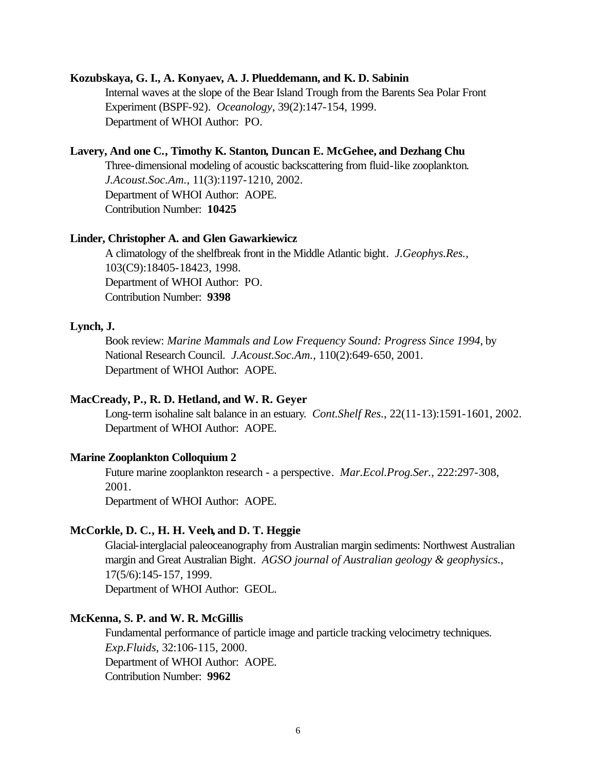#### **Kozubskaya, G. I., A. Konyaev, A. J. Plueddemann, and K. D. Sabinin**

Internal waves at the slope of the Bear Island Trough from the Barents Sea Polar Front Experiment (BSPF-92). *Oceanology*, 39(2):147-154, 1999. Department of WHOI Author: PO.

# **Lavery, And one C., Timothy K. Stanton, Duncan E. McGehee, and Dezhang Chu**

Three-dimensional modeling of acoustic backscattering from fluid-like zooplankton. *J.Acoust.Soc.Am.*, 11(3):1197-1210, 2002. Department of WHOI Author: AOPE. Contribution Number: **10425**

#### **Linder, Christopher A. and Glen Gawarkiewicz**

A climatology of the shelfbreak front in the Middle Atlantic bight. *J.Geophys.Res.*, 103(C9):18405-18423, 1998. Department of WHOI Author: PO. Contribution Number: **9398**

# **Lynch, J.**

Book review: *Marine Mammals and Low Frequency Sound: Progress Since 1994*, by National Research Council. *J.Acoust.Soc.Am.*, 110(2):649-650, 2001. Department of WHOI Author: AOPE.

# **MacCready, P., R. D. Hetland, and W. R. Geyer**

Long-term isohaline salt balance in an estuary. *Cont.Shelf Res.*, 22(11-13):1591-1601, 2002. Department of WHOI Author: AOPE.

#### **Marine Zooplankton Colloquium 2**

Future marine zooplankton research - a perspective. *Mar.Ecol.Prog.Ser.*, 222:297-308, 2001.

Department of WHOI Author: AOPE.

# **McCorkle, D. C., H. H. Veeh, and D. T. Heggie**

Glacial-interglacial paleoceanography from Australian margin sediments: Northwest Australian margin and Great Australian Bight. *AGSO journal of Australian geology & geophysics.*, 17(5/6):145-157, 1999. Department of WHOI Author: GEOL.

### **McKenna, S. P. and W. R. McGillis**

Fundamental performance of particle image and particle tracking velocimetry techniques. *Exp.Fluids*, 32:106-115, 2000. Department of WHOI Author: AOPE. Contribution Number: **9962**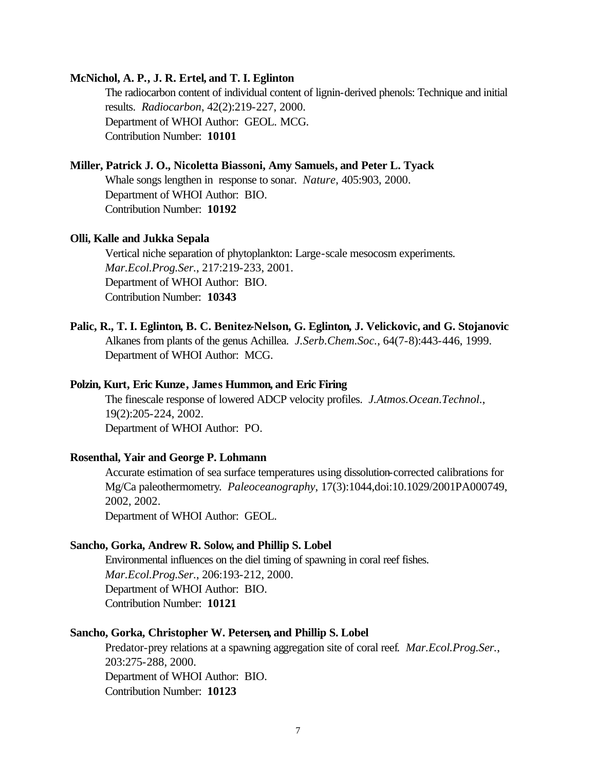# **McNichol, A. P., J. R. Ertel, and T. I. Eglinton**

The radiocarbon content of individual content of lignin-derived phenols: Technique and initial results. *Radiocarbon*, 42(2):219-227, 2000. Department of WHOI Author: GEOL. MCG. Contribution Number: **10101**

# **Miller, Patrick J. O., Nicoletta Biassoni, Amy Samuels, and Peter L. Tyack**

Whale songs lengthen in response to sonar. *Nature*, 405:903, 2000. Department of WHOI Author: BIO. Contribution Number: **10192**

#### **Olli, Kalle and Jukka Sepala**

Vertical niche separation of phytoplankton: Large-scale mesocosm experiments. *Mar.Ecol.Prog.Ser.*, 217:219-233, 2001. Department of WHOI Author: BIO. Contribution Number: **10343**

**Palic, R., T. I. Eglinton, B. C. Benitez-Nelson, G. Eglinton, J. Velickovic, and G. Stojanovic** Alkanes from plants of the genus Achillea. *J.Serb.Chem.Soc.*, 64(7-8):443-446, 1999. Department of WHOI Author: MCG.

# **Polzin, Kurt, Eric Kunze, James Hummon, and Eric Firing**

The finescale response of lowered ADCP velocity profiles. *J.Atmos.Ocean.Technol.*, 19(2):205-224, 2002. Department of WHOI Author: PO.

#### **Rosenthal, Yair and George P. Lohmann**

Accurate estimation of sea surface temperatures using dissolution-corrected calibrations for Mg/Ca paleothermometry. *Paleoceanography*, 17(3):1044,doi:10.1029/2001PA000749, 2002, 2002. Department of WHOI Author: GEOL.

# **Sancho, Gorka, Andrew R. Solow, and Phillip S. Lobel**

Environmental influences on the diel timing of spawning in coral reef fishes. *Mar.Ecol.Prog.Ser.*, 206:193-212, 2000. Department of WHOI Author: BIO. Contribution Number: **10121**

## **Sancho, Gorka, Christopher W. Petersen, and Phillip S. Lobel**

Predator-prey relations at a spawning aggregation site of coral reef. *Mar.Ecol.Prog.Ser.*, 203:275-288, 2000. Department of WHOI Author: BIO. Contribution Number: **10123**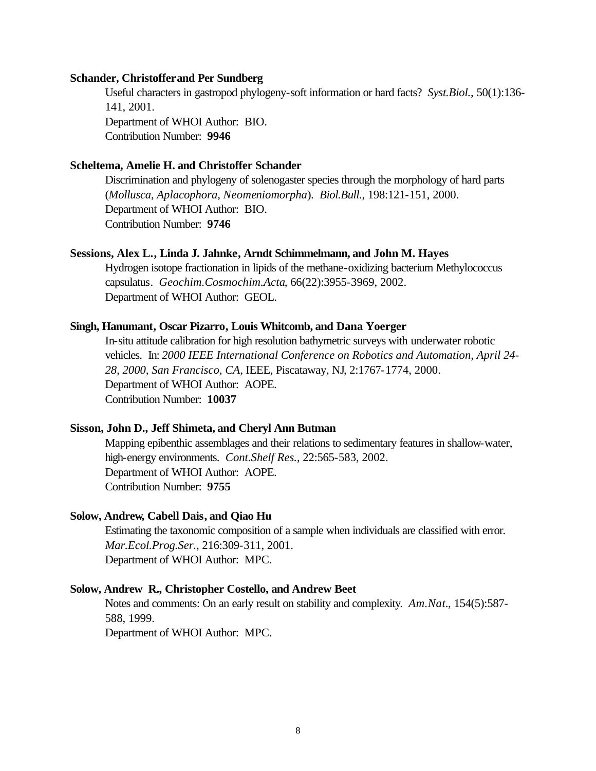## **Schander, Christoffer and Per Sundberg**

Useful characters in gastropod phylogeny-soft information or hard facts? *Syst.Biol.*, 50(1):136- 141, 2001. Department of WHOI Author: BIO. Contribution Number: **9946**

# **Scheltema, Amelie H. and Christoffer Schander**

Discrimination and phylogeny of solenogaster species through the morphology of hard parts (*Mollusca*, *Aplacophora*, *Neomeniomorpha*). *Biol.Bull.*, 198:121-151, 2000. Department of WHOI Author: BIO. Contribution Number: **9746**

# **Sessions, Alex L., Linda J. Jahnke, Arndt Schimmelmann, and John M. Hayes**

Hydrogen isotope fractionation in lipids of the methane-oxidizing bacterium Methylococcus capsulatus. *Geochim.Cosmochim.Acta*, 66(22):3955-3969, 2002. Department of WHOI Author: GEOL.

# **Singh, Hanumant, Oscar Pizarro, Louis Whitcomb, and Dana Yoerger**

In-situ attitude calibration for high resolution bathymetric surveys with underwater robotic vehicles. In: *2000 IEEE International Conference on Robotics and Automation, April 24- 28, 2000, San Francisco, CA*, IEEE, Piscataway, NJ, 2:1767-1774, 2000. Department of WHOI Author: AOPE. Contribution Number: **10037**

# **Sisson, John D., Jeff Shimeta, and Cheryl Ann Butman**

Mapping epibenthic assemblages and their relations to sedimentary features in shallow-water, high-energy environments. *Cont.Shelf Res.*, 22:565-583, 2002. Department of WHOI Author: AOPE. Contribution Number: **9755**

# **Solow, Andrew, Cabell Dais, and Qiao Hu**

Estimating the taxonomic composition of a sample when individuals are classified with error. *Mar.Ecol.Prog.Ser.*, 216:309-311, 2001. Department of WHOI Author: MPC.

#### **Solow, Andrew R., Christopher Costello, and Andrew Beet**

Notes and comments: On an early result on stability and complexity. *Am.Nat.*, 154(5):587- 588, 1999.

Department of WHOI Author: MPC.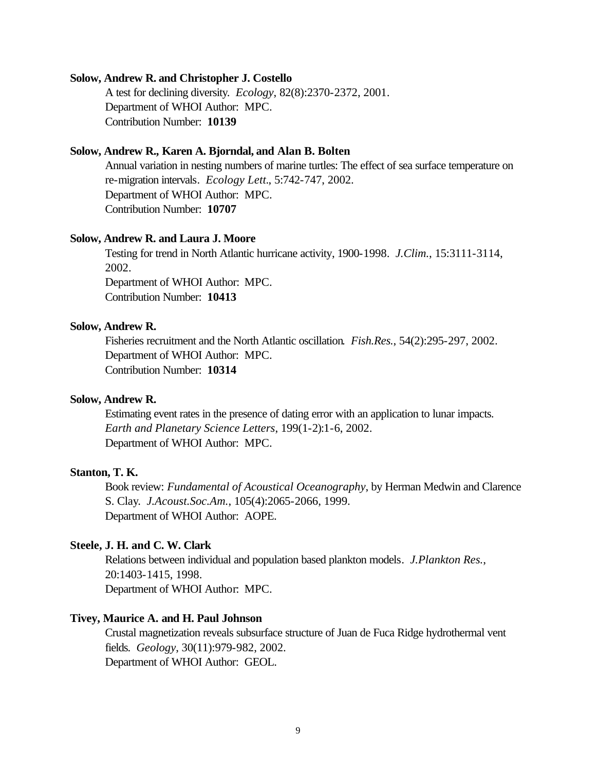# **Solow, Andrew R. and Christopher J. Costello**

A test for declining diversity. *Ecology*, 82(8):2370-2372, 2001. Department of WHOI Author: MPC. Contribution Number: **10139**

## **Solow, Andrew R., Karen A. Bjorndal, and Alan B. Bolten**

Annual variation in nesting numbers of marine turtles: The effect of sea surface temperature on re-migration intervals. *Ecology Lett.*, 5:742-747, 2002. Department of WHOI Author: MPC. Contribution Number: **10707**

#### **Solow, Andrew R. and Laura J. Moore**

Testing for trend in North Atlantic hurricane activity, 1900-1998. *J.Clim.*, 15:3111-3114, 2002. Department of WHOI Author: MPC. Contribution Number: **10413**

#### **Solow, Andrew R.**

Fisheries recruitment and the North Atlantic oscillation. *Fish.Res.*, 54(2):295-297, 2002. Department of WHOI Author: MPC. Contribution Number: **10314**

# **Solow, Andrew R.**

Estimating event rates in the presence of dating error with an application to lunar impacts. *Earth and Planetary Science Letters*, 199(1-2):1-6, 2002. Department of WHOI Author: MPC.

#### **Stanton, T. K.**

Book review: *Fundamental of Acoustical Oceanography*, by Herman Medwin and Clarence S. Clay. *J.Acoust.Soc.Am.*, 105(4):2065-2066, 1999. Department of WHOI Author: AOPE.

# **Steele, J. H. and C. W. Clark**

Relations between individual and population based plankton models. *J.Plankton Res.*, 20:1403-1415, 1998. Department of WHOI Author: MPC.

# **Tivey, Maurice A. and H. Paul Johnson**

Crustal magnetization reveals subsurface structure of Juan de Fuca Ridge hydrothermal vent fields. *Geology*, 30(11):979-982, 2002. Department of WHOI Author: GEOL.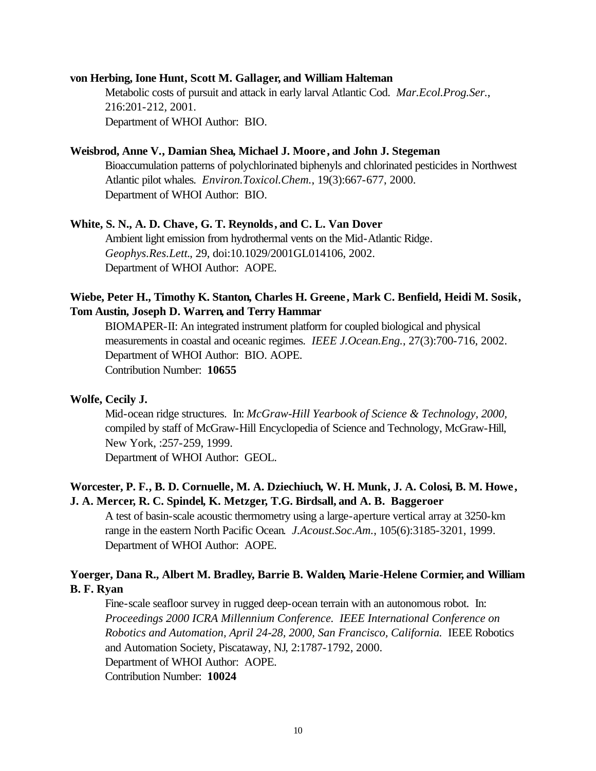# **von Herbing, Ione Hunt, Scott M. Gallager, and William Halteman**

Metabolic costs of pursuit and attack in early larval Atlantic Cod. *Mar.Ecol.Prog.Ser.*, 216:201-212, 2001. Department of WHOI Author: BIO.

# **Weisbrod, Anne V., Damian Shea, Michael J. Moore , and John J. Stegeman**

Bioaccumulation patterns of polychlorinated biphenyls and chlorinated pesticides in Northwest Atlantic pilot whales. *Environ.Toxicol.Chem.*, 19(3):667-677, 2000. Department of WHOI Author: BIO.

## **White, S. N., A. D. Chave, G. T. Reynolds, and C. L. Van Dover**

Ambient light emission from hydrothermal vents on the Mid-Atlantic Ridge. *Geophys.Res.Lett.*, 29, doi:10.1029/2001GL014106, 2002. Department of WHOI Author: AOPE.

# **Wiebe, Peter H., Timothy K. Stanton, Charles H. Greene, Mark C. Benfield, Heidi M. Sosik, Tom Austin, Joseph D. Warren, and Terry Hammar**

BIOMAPER-II: An integrated instrument platform for coupled biological and physical measurements in coastal and oceanic regimes. *IEEE J.Ocean.Eng.*, 27(3):700-716, 2002. Department of WHOI Author: BIO. AOPE. Contribution Number: **10655**

# **Wolfe, Cecily J.**

Mid-ocean ridge structures. In: *McGraw-Hill Yearbook of Science & Technology, 2000,*  compiled by staff of McGraw-Hill Encyclopedia of Science and Technology, McGraw-Hill, New York, :257-259, 1999.

Department of WHOI Author: GEOL.

# **Worcester, P. F., B. D. Cornuelle, M. A. Dziechiuch, W. H. Munk, J. A. Colosi, B. M. Howe, J. A. Mercer, R. C. Spindel, K. Metzger, T.G. Birdsall, and A. B. Baggeroer**

A test of basin-scale acoustic thermometry using a large-aperture vertical array at 3250-km range in the eastern North Pacific Ocean. *J.Acoust.Soc.Am.*, 105(6):3185-3201, 1999. Department of WHOI Author: AOPE.

# **Yoerger, Dana R., Albert M. Bradley, Barrie B. Walden, Marie-Helene Cormier, and William B. F. Ryan**

Fine-scale seafloor survey in rugged deep-ocean terrain with an autonomous robot. In: *Proceedings 2000 ICRA Millennium Conference. IEEE International Conference on Robotics and Automation, April 24-28, 2000, San Francisco, California.* IEEE Robotics and Automation Society, Piscataway, NJ, 2:1787-1792, 2000. Department of WHOI Author: AOPE. Contribution Number: **10024**